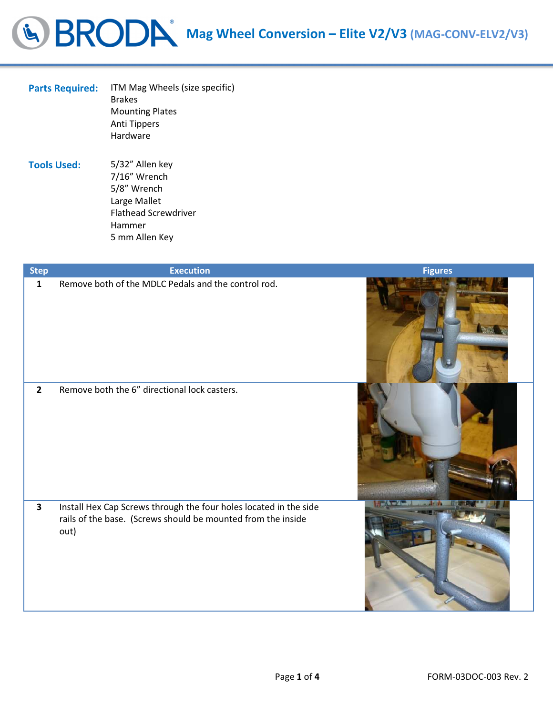## G BRODA Mag Wheel Conversion – Elite V2/V3 (MAG-CONV-ELV2/V3)

l

| <b>Parts Required:</b> | ITM Mag Wheels (size specific)<br><b>Brakes</b><br><b>Mounting Plates</b><br><b>Anti Tippers</b><br>Hardware |
|------------------------|--------------------------------------------------------------------------------------------------------------|
| <b>Tools Used:</b>     | 5/32" Allen key<br>7/16" Wrench                                                                              |

5/8" Wrench Large Mallet Flathead Screwdriver Hammer 5 mm Allen Key

| <b>Step</b>             | <b>Execution</b>                                                                                                                          | <b>Figures</b> |
|-------------------------|-------------------------------------------------------------------------------------------------------------------------------------------|----------------|
| $\mathbf{1}$            | Remove both of the MDLC Pedals and the control rod.                                                                                       |                |
| $\overline{2}$          | Remove both the 6" directional lock casters.                                                                                              |                |
| $\overline{\mathbf{3}}$ | Install Hex Cap Screws through the four holes located in the side<br>rails of the base. (Screws should be mounted from the inside<br>out) |                |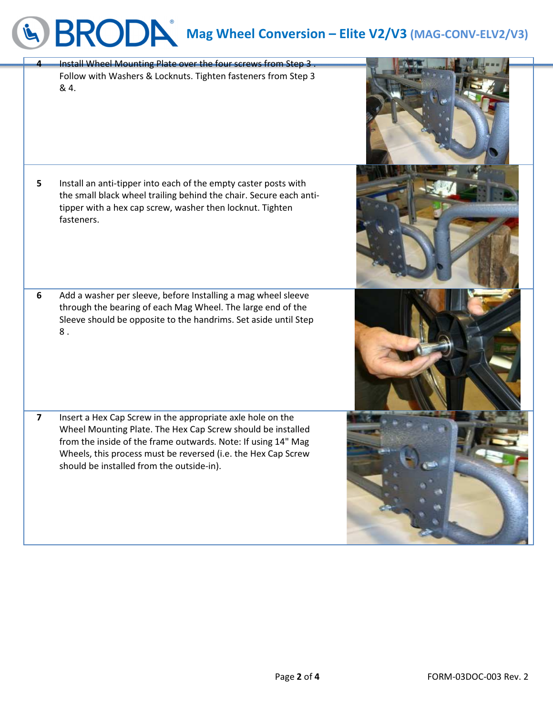## Mag Wheel Conversion – Elite V2/V3 (MAG-CONV-ELV2/V3) Install Wheel Mounting Plate over the four screws from Step

|                         | ricer modifing ride over the<br>Follow with Washers & Locknuts. Tighten fasteners from Step 3<br>& 4.                                                                                                                                                                                                    |  |
|-------------------------|----------------------------------------------------------------------------------------------------------------------------------------------------------------------------------------------------------------------------------------------------------------------------------------------------------|--|
| 5                       | Install an anti-tipper into each of the empty caster posts with<br>the small black wheel trailing behind the chair. Secure each anti-<br>tipper with a hex cap screw, washer then locknut. Tighten<br>fasteners.                                                                                         |  |
| $6\phantom{1}$          | Add a washer per sleeve, before Installing a mag wheel sleeve<br>through the bearing of each Mag Wheel. The large end of the<br>Sleeve should be opposite to the handrims. Set aside until Step<br>$8$ .                                                                                                 |  |
| $\overline{\mathbf{z}}$ | Insert a Hex Cap Screw in the appropriate axle hole on the<br>Wheel Mounting Plate. The Hex Cap Screw should be installed<br>from the inside of the frame outwards. Note: If using 14" Mag<br>Wheels, this process must be reversed (i.e. the Hex Cap Screw<br>should be installed from the outside-in). |  |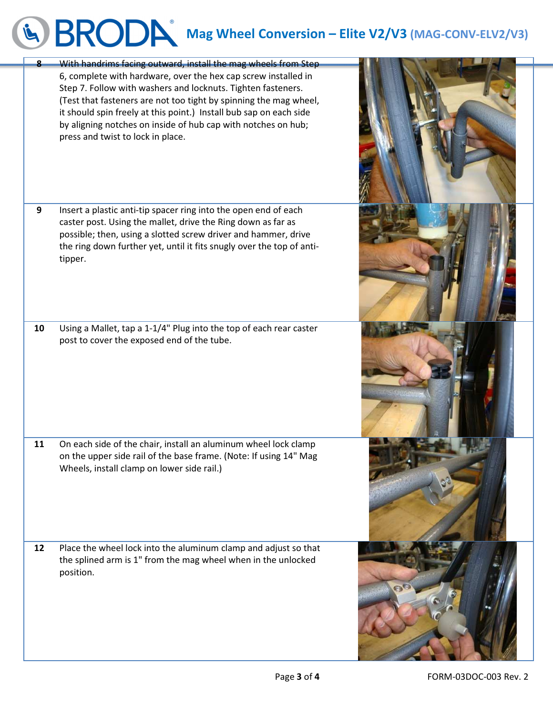## G BRODA Mag Wheel Conversion – Elite V2/V3 (MAG-CONV-ELV2/V3)

| $\bf{8}$ | With handrims facing outward, install the mag wheels from Step<br>6, complete with hardware, over the hex cap screw installed in<br>Step 7. Follow with washers and locknuts. Tighten fasteners.<br>(Test that fasteners are not too tight by spinning the mag wheel,<br>it should spin freely at this point.) Install bub sap on each side<br>by aligning notches on inside of hub cap with notches on hub;<br>press and twist to lock in place. |  |
|----------|---------------------------------------------------------------------------------------------------------------------------------------------------------------------------------------------------------------------------------------------------------------------------------------------------------------------------------------------------------------------------------------------------------------------------------------------------|--|
| 9        | Insert a plastic anti-tip spacer ring into the open end of each<br>caster post. Using the mallet, drive the Ring down as far as<br>possible; then, using a slotted screw driver and hammer, drive<br>the ring down further yet, until it fits snugly over the top of anti-<br>tipper.                                                                                                                                                             |  |
| 10       | Using a Mallet, tap a 1-1/4" Plug into the top of each rear caster<br>post to cover the exposed end of the tube.                                                                                                                                                                                                                                                                                                                                  |  |
| 11       | On each side of the chair, install an aluminum wheel lock clamp<br>on the upper side rail of the base frame. (Note: If using 14" Mag<br>Wheels, install clamp on lower side rail.)                                                                                                                                                                                                                                                                |  |
| 12       | Place the wheel lock into the aluminum clamp and adjust so that<br>the splined arm is 1" from the mag wheel when in the unlocked<br>position.                                                                                                                                                                                                                                                                                                     |  |